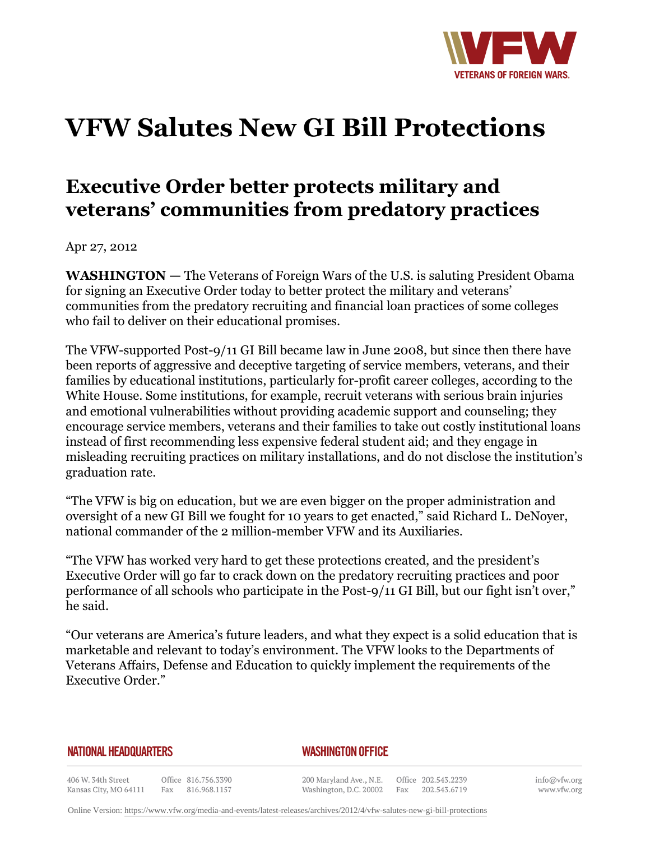

## **VFW Salutes New GI Bill Protections**

## **Executive Order better protects military and veterans' communities from predatory practices**

Apr 27, 2012

**WASHINGTON —** The Veterans of Foreign Wars of the U.S. is saluting President Obama for signing an Executive Order today to better protect the military and veterans' communities from the predatory recruiting and financial loan practices of some colleges who fail to deliver on their educational promises.

The VFW-supported Post-9/11 GI Bill became law in June 2008, but since then there have been reports of aggressive and deceptive targeting of service members, veterans, and their families by educational institutions, particularly for-profit career colleges, according to the White House. Some institutions, for example, recruit veterans with serious brain injuries and emotional vulnerabilities without providing academic support and counseling; they encourage service members, veterans and their families to take out costly institutional loans instead of first recommending less expensive federal student aid; and they engage in misleading recruiting practices on military installations, and do not disclose the institution's graduation rate.

"The VFW is big on education, but we are even bigger on the proper administration and oversight of a new GI Bill we fought for 10 years to get enacted," said Richard L. DeNoyer, national commander of the 2 million-member VFW and its Auxiliaries.

"The VFW has worked very hard to get these protections created, and the president's Executive Order will go far to crack down on the predatory recruiting practices and poor performance of all schools who participate in the Post-9/11 GI Bill, but our fight isn't over," he said.

"Our veterans are America's future leaders, and what they expect is a solid education that is marketable and relevant to today's environment. The VFW looks to the Departments of Veterans Affairs, Defense and Education to quickly implement the requirements of the Executive Order."

## **NATIONAL HEADQUARTERS**

## **WASHINGTON OFFICE**

406 W. 34th Street Office 816.756.3390 Kansas City, MO 64111 Fax 816.968.1157

200 Maryland Ave., N.E. Washington, D.C. 20002

Office 202.543.2239 Fax 202.543.6719 info@vfw.org www.vfw.org

Online Version:<https://www.vfw.org/media-and-events/latest-releases/archives/2012/4/vfw-salutes-new-gi-bill-protections>